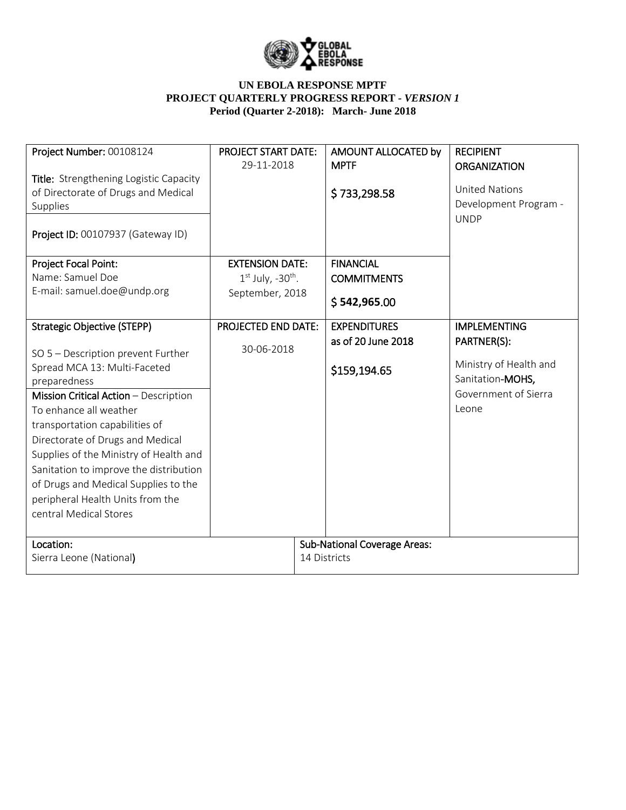

| Project Number: 00108124                                                                                                                                                                                                                                                                                                                                                                                                                                    | <b>PROJECT START DATE:</b><br>29-11-2018                                     |              | AMOUNT ALLOCATED by<br><b>MPTF</b>                        | <b>RECIPIENT</b><br><b>ORGANIZATION</b>                                                                           |
|-------------------------------------------------------------------------------------------------------------------------------------------------------------------------------------------------------------------------------------------------------------------------------------------------------------------------------------------------------------------------------------------------------------------------------------------------------------|------------------------------------------------------------------------------|--------------|-----------------------------------------------------------|-------------------------------------------------------------------------------------------------------------------|
| Title: Strengthening Logistic Capacity<br>of Directorate of Drugs and Medical<br>Supplies<br>Project ID: 00107937 (Gateway ID)                                                                                                                                                                                                                                                                                                                              |                                                                              |              | \$733,298.58                                              | <b>United Nations</b><br>Development Program -<br><b>UNDP</b>                                                     |
| Project Focal Point:<br>Name: Samuel Doe<br>E-mail: samuel.doe@undp.org                                                                                                                                                                                                                                                                                                                                                                                     | <b>EXTENSION DATE:</b><br>$1st$ July, -30 <sup>th</sup> .<br>September, 2018 |              | <b>FINANCIAL</b><br><b>COMMITMENTS</b><br>\$542,965.00    |                                                                                                                   |
| <b>Strategic Objective (STEPP)</b><br>SO 5 - Description prevent Further<br>Spread MCA 13: Multi-Faceted<br>preparedness<br>Mission Critical Action - Description<br>To enhance all weather<br>transportation capabilities of<br>Directorate of Drugs and Medical<br>Supplies of the Ministry of Health and<br>Sanitation to improve the distribution<br>of Drugs and Medical Supplies to the<br>peripheral Health Units from the<br>central Medical Stores | <b>PROJECTED END DATE:</b><br>30-06-2018                                     |              | <b>EXPENDITURES</b><br>as of 20 June 2018<br>\$159,194.65 | <b>IMPLEMENTING</b><br>PARTNER(S):<br>Ministry of Health and<br>Sanitation-MOHS,<br>Government of Sierra<br>Leone |
| Location:<br>Sierra Leone (National)                                                                                                                                                                                                                                                                                                                                                                                                                        |                                                                              | 14 Districts | <b>Sub-National Coverage Areas:</b>                       |                                                                                                                   |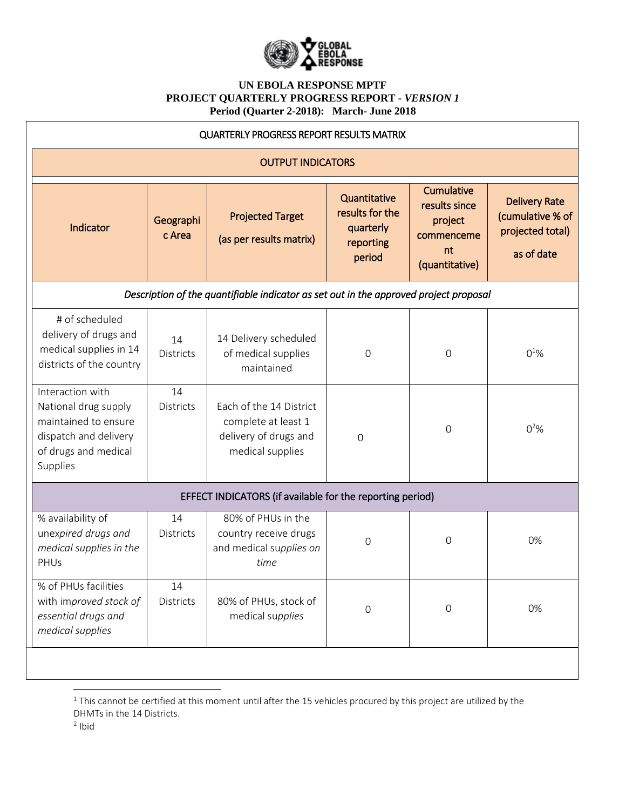

| <b>QUARTERLY PROGRESS REPORT RESULTS MATRIX</b>                                                                               |                        |                                                                                             |                                                                     |                                                                              |                                                                            |  |  |
|-------------------------------------------------------------------------------------------------------------------------------|------------------------|---------------------------------------------------------------------------------------------|---------------------------------------------------------------------|------------------------------------------------------------------------------|----------------------------------------------------------------------------|--|--|
| <b>OUTPUT INDICATORS</b>                                                                                                      |                        |                                                                                             |                                                                     |                                                                              |                                                                            |  |  |
| Indicator                                                                                                                     | Geographi<br>c Area    | <b>Projected Target</b><br>(as per results matrix)                                          | Quantitative<br>results for the<br>quarterly<br>reporting<br>period | Cumulative<br>results since<br>project<br>commenceme<br>nt<br>(quantitative) | <b>Delivery Rate</b><br>(cumulative % of<br>projected total)<br>as of date |  |  |
| Description of the quantifiable indicator as set out in the approved project proposal                                         |                        |                                                                                             |                                                                     |                                                                              |                                                                            |  |  |
| # of scheduled<br>delivery of drugs and<br>medical supplies in 14<br>districts of the country                                 | 14<br><b>Districts</b> | 14 Delivery scheduled<br>of medical supplies<br>maintained                                  | 0                                                                   | 0                                                                            | $0^{10}$ %                                                                 |  |  |
| Interaction with<br>National drug supply<br>maintained to ensure<br>dispatch and delivery<br>of drugs and medical<br>Supplies | 14<br><b>Districts</b> | Each of the 14 District<br>complete at least 1<br>delivery of drugs and<br>medical supplies | $\mathbf{O}$                                                        | $\Omega$                                                                     | $0^2%$                                                                     |  |  |
| EFFECT INDICATORS (if available for the reporting period)                                                                     |                        |                                                                                             |                                                                     |                                                                              |                                                                            |  |  |
| % availability of<br>unexpired drugs and<br>medical supplies in the<br>PHUs                                                   | 14<br><b>Districts</b> | 80% of PHUs in the<br>country receive drugs<br>and medical supplies on<br>time              | 0                                                                   | $\Omega$                                                                     | 0%                                                                         |  |  |
| % of PHUs facilities<br>with improved stock of<br>essential drugs and<br>medical supplies                                     | 14<br>Districts        | 80% of PHUs, stock of<br>medical supplies                                                   | $\mathsf{O}\xspace$                                                 | $\mathsf{O}\xspace$                                                          | 0%                                                                         |  |  |
|                                                                                                                               |                        |                                                                                             |                                                                     |                                                                              |                                                                            |  |  |

 $^1$  This cannot be certified at this moment until after the 15 vehicles procured by this project are utilized by the DHMTs in the 14 Districts.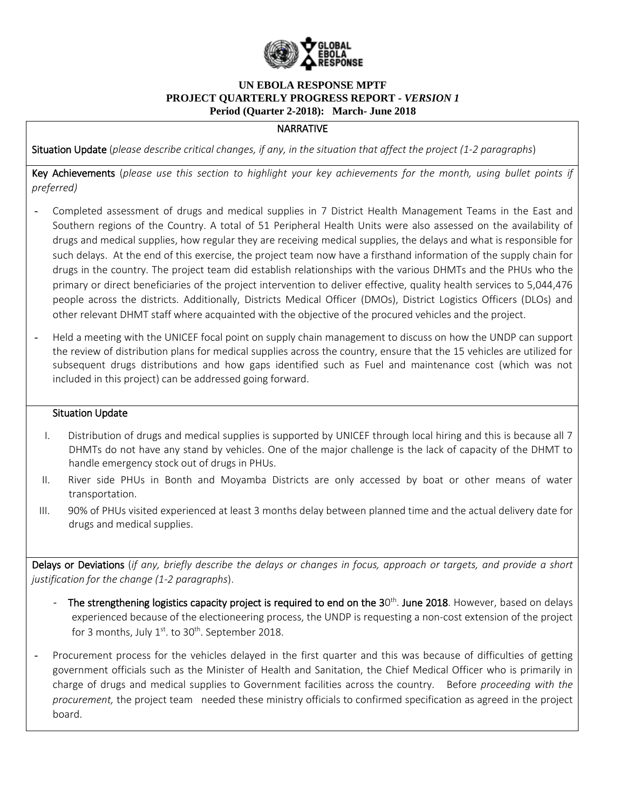

# **NARRATIVE**

Situation Update (*please describe critical changes, if any, in the situation that affect the project (1-2 paragraphs*)

Key Achievements (*please use this section to highlight your key achievements for the month, using bullet points if preferred)*

- *-* Completed assessment of drugs and medical supplies in 7 District Health Management Teams in the East and Southern regions of the Country. A total of 51 Peripheral Health Units were also assessed on the availability of drugs and medical supplies, how regular they are receiving medical supplies, the delays and what is responsible for such delays. At the end of this exercise, the project team now have a firsthand information of the supply chain for drugs in the country. The project team did establish relationships with the various DHMTs and the PHUs who the primary or direct beneficiaries of the project intervention to deliver effective, quality health services to 5,044,476 people across the districts. Additionally, Districts Medical Officer (DMOs), District Logistics Officers (DLOs) and other relevant DHMT staff where acquainted with the objective of the procured vehicles and the project.
- *-* Held a meeting with the UNICEF focal point on supply chain management to discuss on how the UNDP can support the review of distribution plans for medical supplies across the country, ensure that the 15 vehicles are utilized for subsequent drugs distributions and how gaps identified such as Fuel and maintenance cost (which was not included in this project) can be addressed going forward.

#### Situation Update

- I. Distribution of drugs and medical supplies is supported by UNICEF through local hiring and this is because all 7 DHMTs do not have any stand by vehicles. One of the major challenge is the lack of capacity of the DHMT to handle emergency stock out of drugs in PHUs.
- II. River side PHUs in Bonth and Moyamba Districts are only accessed by boat or other means of water transportation.
- III. 90% of PHUs visited experienced at least 3 months delay between planned time and the actual delivery date for drugs and medical supplies.

Delays or Deviations (*if any, briefly describe the delays or changes in focus, approach or targets, and provide a short justification for the change (1-2 paragraphs*).

- The strengthening logistics capacity project is required to end on the 30<sup>th</sup>. June 2018. However, based on delays experienced because of the electioneering process, the UNDP is requesting a non-cost extension of the project for 3 months, July  $1^{st}$ . to 30<sup>th</sup>. September 2018.
- *-* Procurement process for the vehicles delayed in the first quarter and this was because of difficulties of getting government officials such as the Minister of Health and Sanitation, the Chief Medical Officer who is primarily in charge of drugs and medical supplies to Government facilities across the country. Before *proceeding with the procurement,* the project team needed these ministry officials to confirmed specification as agreed in the project board.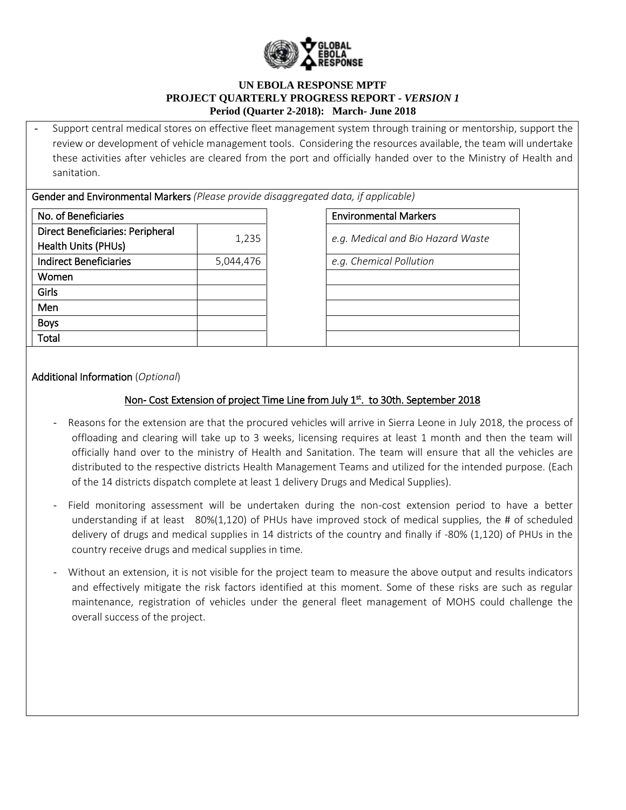

*-* Support central medical stores on effective fleet management system through training or mentorship, support the review or development of vehicle management tools. Considering the resources available, the team will undertake these activities after vehicles are cleared from the port and officially handed over to the Ministry of Health and sanitation.

Gender and Environmental Markers *(Please provide disaggregated data, if applicable)*

| No. of Beneficiaries                    |           |  |
|-----------------------------------------|-----------|--|
| <b>Direct Beneficiaries: Peripheral</b> |           |  |
| <b>Health Units (PHUs)</b>              | 1,235     |  |
| <b>Indirect Beneficiaries</b>           | 5,044,476 |  |
| Women                                   |           |  |
| Girls                                   |           |  |
| Men                                     |           |  |
| <b>Boys</b>                             |           |  |
| Total                                   |           |  |

**Environmental Markers** 

1,235 *e.g. Medical and Bio Hazard Waste*

Indirect Beneficiaries 5,044,476 *e.g. Chemical Pollution*

Additional Information (*Optional*)

## Non- Cost Extension of project Time Line from July 1st. to 30th. September 2018

- Reasons for the extension are that the procured vehicles will arrive in Sierra Leone in July 2018, the process of offloading and clearing will take up to 3 weeks, licensing requires at least 1 month and then the team will officially hand over to the ministry of Health and Sanitation. The team will ensure that all the vehicles are distributed to the respective districts Health Management Teams and utilized for the intended purpose. (Each of the 14 districts dispatch complete at least 1 delivery Drugs and Medical Supplies).
- Field monitoring assessment will be undertaken during the non-cost extension period to have a better understanding if at least 80%(1,120) of PHUs have improved stock of medical supplies, the # of scheduled delivery of drugs and medical supplies in 14 districts of the country and finally if -80% (1,120) of PHUs in the country receive drugs and medical supplies in time.
- Without an extension, it is not visible for the project team to measure the above output and results indicators and effectively mitigate the risk factors identified at this moment. Some of these risks are such as regular maintenance, registration of vehicles under the general fleet management of MOHS could challenge the overall success of the project.